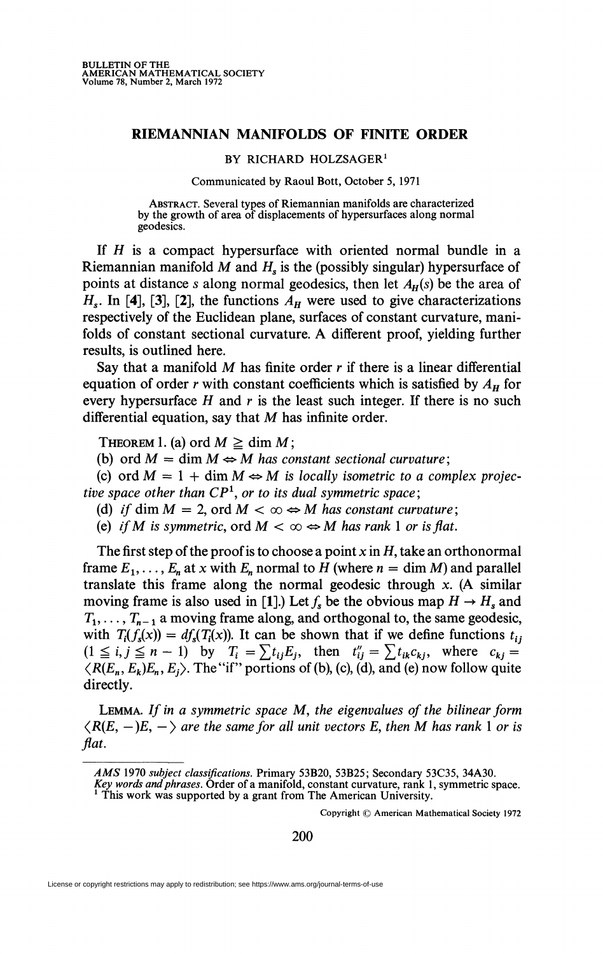## **RIEMANNIAN MANIFOLDS OF FINITE ORDER**

## BY RICHARD HOLZSAGER<sup>1</sup>

## Communicated by Raoul Bott, October 5, 1971

ABSTRACT. Several types of Riemannian manifolds are characterized by the growth of area of displacements of hypersurfaces along normal geodesies.

If H is a compact hypersurface with oriented normal bundle in a Riemannian manifold *M* and *H<sup>s</sup>* is the (possibly singular) hypersurface of points at distance *s* along normal geodesics, then let  $A_H(s)$  be the area of  $H_s$ . In [4], [3], [2], the functions  $A_H$  were used to give characterizations respectively of the Euclidean plane, surfaces of constant curvature, manifolds of constant sectional curvature. A different proof, yielding further results, is outlined here.

Say that a manifold *M* has finite order *r* if there is a linear differential equation of order *r* with constant coefficients which is satisfied by  $A_H$  for every hypersurface *H* and *r* is the least such integer. If there is no such differential equation, say that *M* has infinite order.

THEOREM 1. (a) ord  $M \ge \dim M$ ;

(b) ord  $M = \dim M \Leftrightarrow M$  has constant sectional curvature;

(c) ord  $M = 1 + \dim M \Leftrightarrow M$  is locally isometric to a complex projec*tive space other than CP<sup>1</sup> , or to its dual symmetric space;* 

(d) if dim  $M = 2$ , ord  $M < \infty \Leftrightarrow M$  has constant curvature;

(e) if M is symmetric, ord  $M < \infty \Leftrightarrow M$  has rank 1 or is flat.

The first step of the proof is to choose a point *x* in *H,* take an orthonormal frame  $E_1, \ldots, E_n$  at x with  $E_n$  normal to H (where  $n = \dim M$ ) and parallel translate this frame along the normal geodesic through *x.* (A similar moving frame is also used in [1].) Let  $f_s$  be the obvious map  $H \to H_s$  and  $T_1, \ldots, T_{n-1}$  a moving frame along, and orthogonal to, the same geodesic, with  $T_i(f_s(x)) = df_s(T_i(x))$ . It can be shown that if we define functions  $t_{ij}$  $(1 \leq i, j \leq n-1)$  by  $T_i = \sum t_{ij} E_j$ , then  $t''_{ij} = \sum t_{ik} c_{kj}$ , where  $c_{kj} =$  $\langle R(E_n, E_k)E_n, E_j \rangle$ . The "if" portions of (b), (c), (d), and (e) now follow quite directly.

LEMMA. *If in a symmetric space* M, *the eigenvalues of the bilinear form*   $\langle R(E, -)E, -\rangle$  are the same for all unit vectors E, then M has rank 1 or is flat.

Copyright © American Mathematical Society 1972

200

License or copyright restrictions may apply to redistribution; see https://www.ams.org/journal-terms-of-use

*AMS* 1970 *subject classifications.* Primary 53B20, 53B25; Secondary 53C35, 34A30.

*Key words and phrases.* Order of a manifold, constant curvature, rank 1, symmetric space. <sup>1</sup> This work was supported by a grant from The American University.